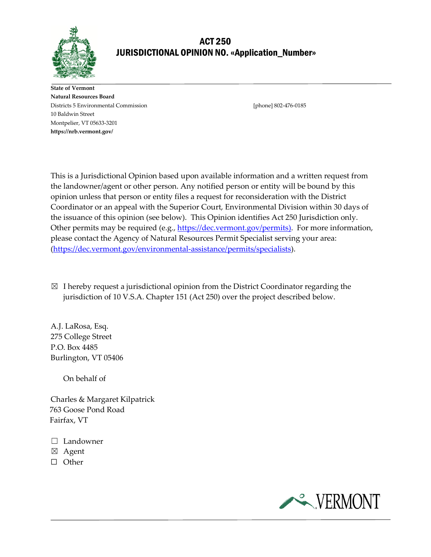

# ACT 250 JURISDICTIONAL OPINION NO. «Application\_Number»

**State of Vermont Natural Resources Board** Districts 5 Environmental Commission [phone] 802-476-0185 10 Baldwin Street Montpelier, VT 05633-3201 **https://nrb.vermont.gov/**

This is a Jurisdictional Opinion based upon available information and a written request from the landowner/agent or other person. Any notified person or entity will be bound by this opinion unless that person or entity files a request for reconsideration with the District Coordinator or an appeal with the Superior Court, Environmental Division within 30 days of the issuance of this opinion (see below). This Opinion identifies Act 250 Jurisdiction only. Other permits may be required (e.g., [https://dec.vermont.gov/permits\)](https://dec.vermont.gov/permits). For more information, please contact the Agency of Natural Resources Permit Specialist serving your area: [\(https://dec.vermont.gov/environmental-assistance/permits/specialists\)](https://dec.vermont.gov/environmental-assistance/permits/specialists).

 $\boxtimes$  I hereby request a jurisdictional opinion from the District Coordinator regarding the jurisdiction of 10 V.S.A. Chapter 151 (Act 250) over the project described below.

A.J. LaRosa, Esq. 275 College Street P.O. Box 4485 Burlington, VT 05406

On behalf of

Charles & Margaret Kilpatrick 763 Goose Pond Road Fairfax, VT

- ☐ Landowner
- ☒ Agent
- ☐ Other

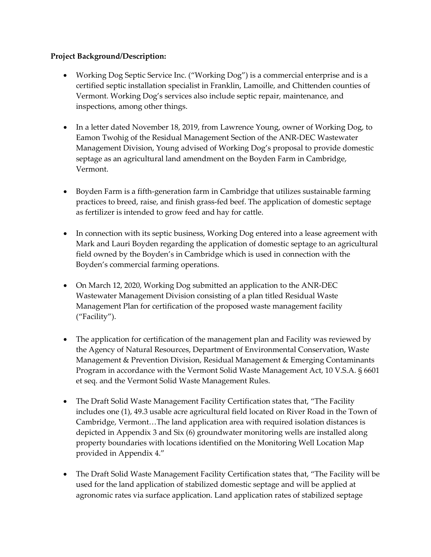# **Project Background/Description:**

- Working Dog Septic Service Inc. ("Working Dog") is a commercial enterprise and is a certified septic installation specialist in Franklin, Lamoille, and Chittenden counties of Vermont. Working Dog's services also include septic repair, maintenance, and inspections, among other things.
- In a letter dated November 18, 2019, from Lawrence Young, owner of Working Dog, to Eamon Twohig of the Residual Management Section of the ANR-DEC Wastewater Management Division, Young advised of Working Dog's proposal to provide domestic septage as an agricultural land amendment on the Boyden Farm in Cambridge, Vermont.
- Boyden Farm is a fifth-generation farm in Cambridge that utilizes sustainable farming practices to breed, raise, and finish grass-fed beef. The application of domestic septage as fertilizer is intended to grow feed and hay for cattle.
- In connection with its septic business, Working Dog entered into a lease agreement with Mark and Lauri Boyden regarding the application of domestic septage to an agricultural field owned by the Boyden's in Cambridge which is used in connection with the Boyden's commercial farming operations.
- On March 12, 2020, Working Dog submitted an application to the ANR-DEC Wastewater Management Division consisting of a plan titled Residual Waste Management Plan for certification of the proposed waste management facility ("Facility").
- The application for certification of the management plan and Facility was reviewed by the Agency of Natural Resources, Department of Environmental Conservation, Waste Management & Prevention Division, Residual Management & Emerging Contaminants Program in accordance with the Vermont Solid Waste Management Act, 10 V.S.A. § 6601 et seq. and the Vermont Solid Waste Management Rules.
- The Draft Solid Waste Management Facility Certification states that, "The Facility" includes one (1), 49.3 usable acre agricultural field located on River Road in the Town of Cambridge, Vermont…The land application area with required isolation distances is depicted in Appendix 3 and Six (6) groundwater monitoring wells are installed along property boundaries with locations identified on the Monitoring Well Location Map provided in Appendix 4."
- The Draft Solid Waste Management Facility Certification states that, "The Facility will be used for the land application of stabilized domestic septage and will be applied at agronomic rates via surface application. Land application rates of stabilized septage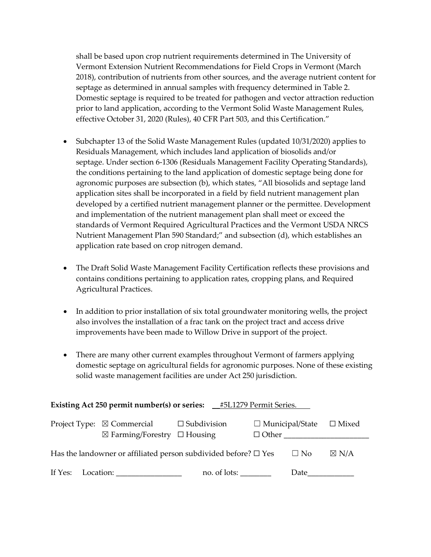shall be based upon crop nutrient requirements determined in The University of Vermont Extension Nutrient Recommendations for Field Crops in Vermont (March 2018), contribution of nutrients from other sources, and the average nutrient content for septage as determined in annual samples with frequency determined in Table 2. Domestic septage is required to be treated for pathogen and vector attraction reduction prior to land application, according to the Vermont Solid Waste Management Rules, effective October 31, 2020 (Rules), 40 CFR Part 503, and this Certification."

- Subchapter 13 of the Solid Waste Management Rules (updated 10/31/2020) applies to Residuals Management, which includes land application of biosolids and/or septage. Under section 6-1306 (Residuals Management Facility Operating Standards), the conditions pertaining to the land application of domestic septage being done for agronomic purposes are subsection (b), which states, "All biosolids and septage land application sites shall be incorporated in a field by field nutrient management plan developed by a certified nutrient management planner or the permittee. Development and implementation of the nutrient management plan shall meet or exceed the standards of Vermont Required Agricultural Practices and the Vermont USDA NRCS Nutrient Management Plan 590 Standard;" and subsection (d), which establishes an application rate based on crop nitrogen demand.
- The Draft Solid Waste Management Facility Certification reflects these provisions and contains conditions pertaining to application rates, cropping plans, and Required Agricultural Practices.
- In addition to prior installation of six total groundwater monitoring wells, the project also involves the installation of a frac tank on the project tract and access drive improvements have been made to Willow Drive in support of the project.
- There are many other current examples throughout Vermont of farmers applying domestic septage on agricultural fields for agronomic purposes. None of these existing solid waste management facilities are under Act 250 jurisdiction.

| <b>Existing Act 250 permit number(s) or series:</b> _#5L1279 Permit Series. |                                                                                                        |              |                        |              |                 |
|-----------------------------------------------------------------------------|--------------------------------------------------------------------------------------------------------|--------------|------------------------|--------------|-----------------|
|                                                                             | Project Type: $\boxtimes$ Commercial $\Box$ Subdivision<br>$\boxtimes$ Farming/Forestry $\Box$ Housing |              | $\Box$ Municipal/State | $\Box$ Other | $\Box$ Mixed    |
|                                                                             | Has the landowner or affiliated person subdivided before? $\square$ Yes                                |              |                        | $\Box$ No    | $\boxtimes$ N/A |
|                                                                             | If Yes: Location:                                                                                      | no. of lots: |                        | Date         |                 |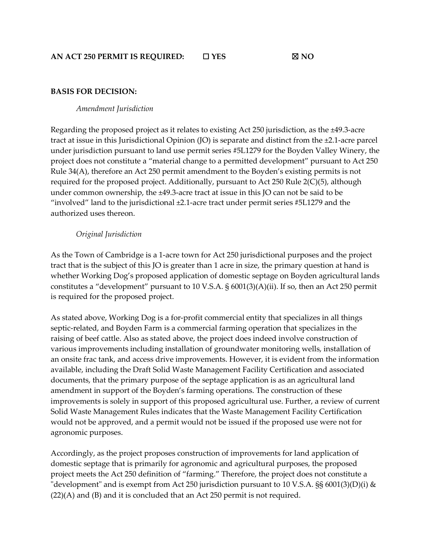## **BASIS FOR DECISION:**

#### *Amendment Jurisdiction*

Regarding the proposed project as it relates to existing Act 250 jurisdiction, as the ±49.3-acre tract at issue in this Jurisdictional Opinion (JO) is separate and distinct from the ±2.1-acre parcel under jurisdiction pursuant to land use permit series #5L1279 for the Boyden Valley Winery, the project does not constitute a "material change to a permitted development" pursuant to Act 250 Rule 34(A), therefore an Act 250 permit amendment to the Boyden's existing permits is not required for the proposed project. Additionally, pursuant to Act 250 Rule 2(C)(5), although under common ownership, the ±49.3-acre tract at issue in this JO can not be said to be "involved" land to the jurisdictional  $\pm 2.1$ -acre tract under permit series #5L1279 and the authorized uses thereon.

### *Original Jurisdiction*

As the Town of Cambridge is a 1-acre town for Act 250 jurisdictional purposes and the project tract that is the subject of this JO is greater than 1 acre in size, the primary question at hand is whether Working Dog's proposed application of domestic septage on Boyden agricultural lands constitutes a "development" pursuant to 10 V.S.A. § 6001(3)(A)(ii). If so, then an Act 250 permit is required for the proposed project.

As stated above, Working Dog is a for-profit commercial entity that specializes in all things septic-related, and Boyden Farm is a commercial farming operation that specializes in the raising of beef cattle. Also as stated above, the project does indeed involve construction of various improvements including installation of groundwater monitoring wells, installation of an onsite frac tank, and access drive improvements. However, it is evident from the information available, including the Draft Solid Waste Management Facility Certification and associated documents, that the primary purpose of the septage application is as an agricultural land amendment in support of the Boyden's farming operations. The construction of these improvements is solely in support of this proposed agricultural use. Further, a review of current Solid Waste Management Rules indicates that the Waste Management Facility Certification would not be approved, and a permit would not be issued if the proposed use were not for agronomic purposes.

Accordingly, as the project proposes construction of improvements for land application of domestic septage that is primarily for agronomic and agricultural purposes, the proposed project meets the Act 250 definition of "farming." Therefore, the project does not constitute a "development" and is exempt from Act 250 jurisdiction pursuant to 10 V.S.A.  $\S$ § 6001(3)(D)(i) & (22)(A) and (B) and it is concluded that an Act 250 permit is not required.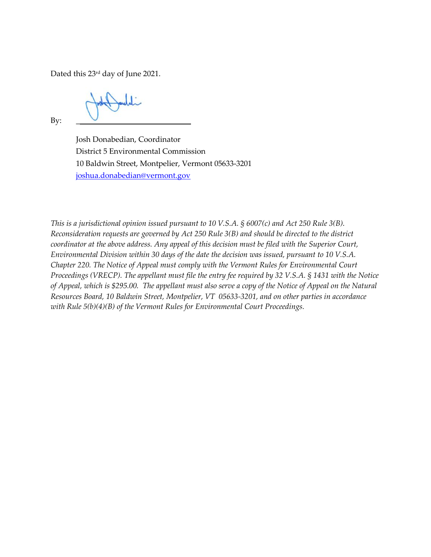Dated this 23rd day of June 2021.

By:  $\qquad \qquad$ 

Josh Donabedian, Coordinator District 5 Environmental Commission 10 Baldwin Street, Montpelier, Vermont 05633-3201 [joshua.donabedian@vermont.gov](mailto:joshua.donabedian@vermont.gov)

*This is a jurisdictional opinion issued pursuant to 10 V.S.A. § 6007(c) and Act 250 Rule 3(B). Reconsideration requests are governed by Act 250 Rule 3(B) and should be directed to the district coordinator at the above address. Any appeal of this decision must be filed with the Superior Court, Environmental Division within 30 days of the date the decision was issued, pursuant to 10 V.S.A. Chapter 220. The Notice of Appeal must comply with the Vermont Rules for Environmental Court Proceedings (VRECP). The appellant must file the entry fee required by 32 V.S.A. § 1431 with the Notice of Appeal, which is \$295.00. The appellant must also serve a copy of the Notice of Appeal on the Natural Resources Board, 10 Baldwin Street, Montpelier, VT 05633-3201, and on other parties in accordance with Rule 5(b)(4)(B) of the Vermont Rules for Environmental Court Proceedings.*